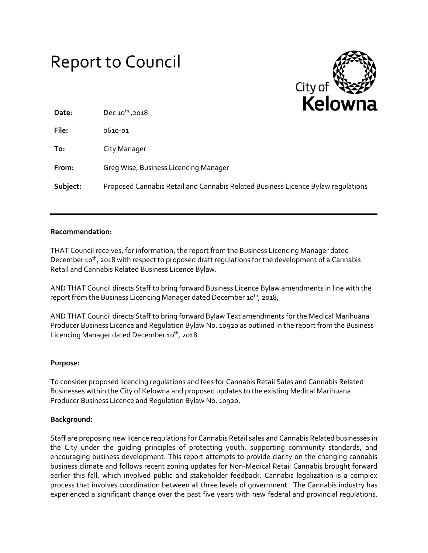| <b>Report to Council</b> |  |
|--------------------------|--|
|--------------------------|--|



| Date:    | Dec $10^{th}$ , 2018                                                             | . |
|----------|----------------------------------------------------------------------------------|---|
| File:    | 0610-01                                                                          |   |
| To:      | City Manager                                                                     |   |
| From:    | Greg Wise, Business Licencing Manager                                            |   |
| Subject: | Proposed Cannabis Retail and Cannabis Related Business Licence Bylaw regulations |   |

#### **Recommendation:**

THAT Council receives, for information, the report from the Business Licencing Manager dated December 10<sup>th</sup>, 2018 with respect to proposed draft regulations for the development of a Cannabis Retail and Cannabis Related Business Licence Bylaw.

AND THAT Council directs Staff to bring forward Business Licence Bylaw amendments in line with the report from the Business Licencing Manager dated December 10<sup>th</sup>, 2018;

AND THAT Council directs Staff to bring forward Bylaw Text amendments for the Medical Marihuana Producer Business Licence and Regulation Bylaw No. 10920 as outlined in the report from the Business Licencing Manager dated December 10<sup>th</sup>, 2018.

#### **Purpose:**

To consider proposed licencing regulations and fees for Cannabis Retail Sales and Cannabis Related Businesses within the City of Kelowna and proposed updates to the existing Medical Marihuana Producer Business Licence and Regulation Bylaw No. 10920.

#### **Background:**

Staff are proposing new licence regulations for Cannabis Retail sales and Cannabis Related businesses in the City under the guiding principles of protecting youth, supporting community standards, and encouraging business development. This report attempts to provide clarity on the changing cannabis business climate and follows recent zoning updates for Non-Medical Retail Cannabis brought forward earlier this fall, which involved public and stakeholder feedback. Cannabis legalization is a complex process that involves coordination between all three levels of government. The Cannabis industry has experienced a significant change over the past five years with new federal and provincial regulations.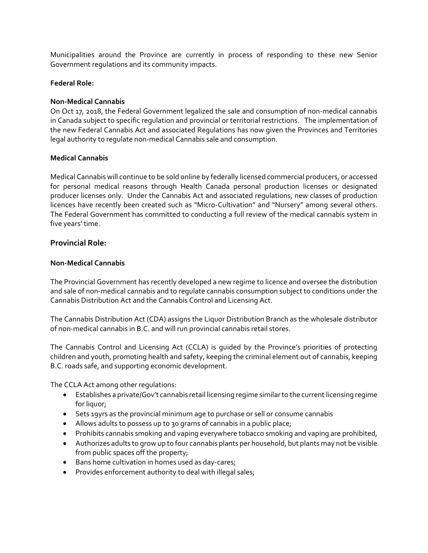Municipalities around the Province are currently in process of responding to these new Senior Government regulations and its community impacts.

#### **Federal Role:**

#### **Non-Medical Cannabis**

On Oct 17, 2018, the Federal Government legalized the sale and consumption of non-medical cannabis in Canada subject to specific regulation and provincial or territorial restrictions. The implementation of the new Federal Cannabis Act and associated Regulations has now given the Provinces and Territories legal authority to regulate non-medical Cannabis sale and consumption.

#### **Medical Cannabis**

Medical Cannabis will continue to be sold online by federally licensed commercial producers, or accessed for personal medical reasons through Health Canada personal production licenses or designated producer licenses only. Under the Cannabis Act and associated regulations, new classes of production licences have recently been created such as "Micro-Cultivation" and "Nursery" among several others. The Federal Government has committed to conducting a full review of the medical cannabis system in five years' time.

#### **Provincial Role:**

#### **Non-Medical Cannabis**

The Provincial Government has recently developed a new regime to licence and oversee the distribution and sale of non-medical cannabis and to regulate cannabis consumption subject to conditions under the Cannabis Distribution Act and the Cannabis Control and Licensing Act.

The Cannabis Distribution Act (CDA) assigns the Liquor Distribution Branch as the wholesale distributor of non-medical cannabis in B.C. and will run provincial cannabis retail stores.

The Cannabis Control and Licensing Act (CCLA) is guided by the Province's priorities of protecting children and youth, promoting health and safety, keeping the criminal element out of cannabis, keeping B.C. roads safe, and supporting economic development.

The CCLA Act among other regulations:

- Establishes a private/Gov't cannabis retail licensing regime similar to the current licensing regime for liquor;
- Sets 19yrs as the provincial minimum age to purchase or sell or consume cannabis
- Allows adults to possess up to 30 grams of cannabis in a public place;
- Prohibits cannabis smoking and vaping everywhere tobacco smoking and vaping are prohibited,
- Authorizes adults to grow up to four cannabis plants per household, but plants may not be visible from public spaces off the property;
- Bans home cultivation in homes used as day-cares;
- Provides enforcement authority to deal with illegal sales;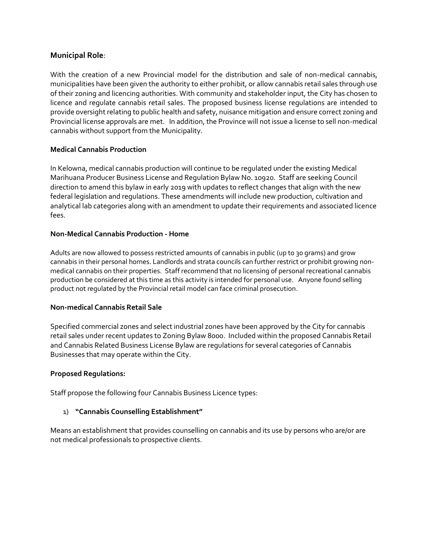# **Municipal Role**:

With the creation of a new Provincial model for the distribution and sale of non-medical cannabis, municipalities have been given the authority to either prohibit, or allow cannabis retail sales through use of their zoning and licencing authorities. With community and stakeholder input, the City has chosen to licence and regulate cannabis retail sales. The proposed business license regulations are intended to provide oversight relating to public health and safety, nuisance mitigation and ensure correct zoning and Provincial license approvals are met. In addition, the Province will not issue a license to sell non-medical cannabis without support from the Municipality.

# **Medical Cannabis Production**

In Kelowna, medical cannabis production will continue to be regulated under the existing Medical Marihuana Producer Business License and Regulation Bylaw No. 10920. Staff are seeking Council direction to amend this bylaw in early 2019 with updates to reflect changes that align with the new federal legislation and regulations. These amendments will include new production, cultivation and analytical lab categories along with an amendment to update their requirements and associated licence fees.

# **Non-Medical Cannabis Production - Home**

Adults are now allowed to possess restricted amounts of cannabis in public (up to 30 grams) and grow cannabis in their personal homes. Landlords and strata councils can further restrict or prohibit growing nonmedical cannabis on their properties. Staff recommend that no licensing of personal recreational cannabis production be considered at this time as this activity is intended for personal use. Anyone found selling product not regulated by the Provincial retail model can face criminal prosecution.

# **Non-medical Cannabis Retail Sale**

Specified commercial zones and select industrial zones have been approved by the City for cannabis retail sales under recent updates to Zoning Bylaw 8000. Included within the proposed Cannabis Retail and Cannabis Related Business License Bylaw are regulations for several categories of Cannabis Businesses that may operate within the City.

# **Proposed Regulations:**

Staff propose the following four Cannabis Business Licence types:

# 1) **"Cannabis Counselling Establishment"**

Means an establishment that provides counselling on cannabis and its use by persons who are/or are not medical professionals to prospective clients.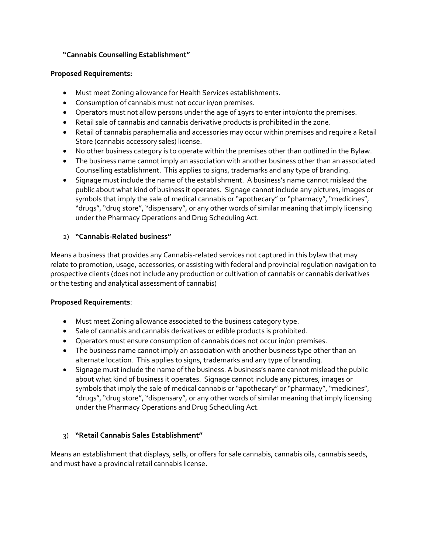# **"Cannabis Counselling Establishment"**

#### **Proposed Requirements:**

- Must meet Zoning allowance for Health Services establishments.
- Consumption of cannabis must not occur in/on premises.
- Operators must not allow persons under the age of 19yrs to enter into/onto the premises.
- Retail sale of cannabis and cannabis derivative products is prohibited in the zone.
- Retail of cannabis paraphernalia and accessories may occur within premises and require a Retail Store (cannabis accessory sales) license.
- No other business category is to operate within the premises other than outlined in the Bylaw.
- The business name cannot imply an association with another business other than an associated Counselling establishment. This applies to signs, trademarks and any type of branding.
- Signage must include the name of the establishment. A business's name cannot mislead the public about what kind of business it operates. Signage cannot include any pictures, images or symbols that imply the sale of medical cannabis or "apothecary" or "pharmacy", "medicines", "drugs", "drug store", "dispensary", or any other words of similar meaning that imply licensing under the Pharmacy Operations and Drug Scheduling Act.

# 2) **"Cannabis-Related business"**

Means a business that provides any Cannabis-related services not captured in this bylaw that may relate to promotion, usage, accessories, or assisting with federal and provincial regulation navigation to prospective clients (does not include any production or cultivation of cannabis or cannabis derivatives or the testing and analytical assessment of cannabis)

# **Proposed Requirements**:

- Must meet Zoning allowance associated to the business category type.
- Sale of cannabis and cannabis derivatives or edible products is prohibited.
- Operators must ensure consumption of cannabis does not occur in/on premises.
- The business name cannot imply an association with another business type other than an alternate location. This applies to signs, trademarks and any type of branding.
- Signage must include the name of the business. A business's name cannot mislead the public about what kind of business it operates. Signage cannot include any pictures, images or symbols that imply the sale of medical cannabis or "apothecary" or "pharmacy", "medicines", "drugs", "drug store", "dispensary", or any other words of similar meaning that imply licensing under the Pharmacy Operations and Drug Scheduling Act.

# 3) **"Retail Cannabis Sales Establishment"**

Means an establishment that displays, sells, or offers for sale cannabis, cannabis oils, cannabis seeds, and must have a provincial retail cannabis license**.**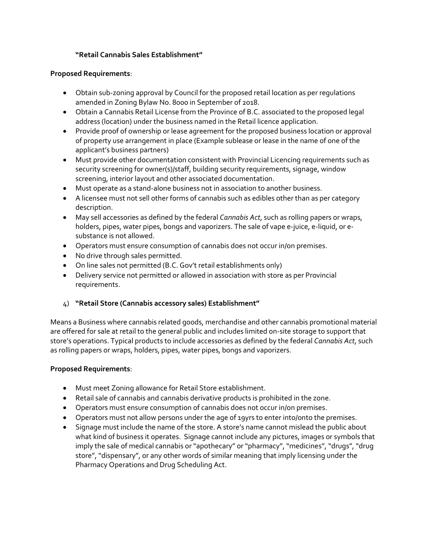# **"Retail Cannabis Sales Establishment"**

#### **Proposed Requirements**:

- Obtain sub-zoning approval by Council for the proposed retail location as per regulations amended in Zoning Bylaw No. 8000 in September of 2018.
- Obtain a Cannabis Retail License from the Province of B.C. associated to the proposed legal address (location) under the business named in the Retail licence application.
- Provide proof of ownership or lease agreement for the proposed business location or approval of property use arrangement in place (Example sublease or lease in the name of one of the applicant's business partners)
- Must provide other documentation consistent with Provincial Licencing requirements such as security screening for owner(s)/staff, building security requirements, signage, window screening, interior layout and other associated documentation.
- Must operate as a stand-alone business not in association to another business.
- A licensee must not sell other forms of cannabis such as edibles other than as per category description.
- May sell accessories as defined by the federal *Cannabis Act*, such as rolling papers or wraps, holders, pipes, water pipes, bongs and vaporizers. The sale of vape e-juice, e-liquid, or esubstance is not allowed.
- Operators must ensure consumption of cannabis does not occur in/on premises.
- No drive through sales permitted.
- On line sales not permitted (B.C. Gov't retail establishments only)
- Delivery service not permitted or allowed in association with store as per Provincial requirements.

# 4) **"Retail Store (Cannabis accessory sales) Establishment"**

Means a Business where cannabis related goods, merchandise and other cannabis promotional material are offered for sale at retail to the general public and includes limited on‐site storage to support that store's operations. Typical products to include accessories as defined by the federal *Cannabis Act*, such as rolling papers or wraps, holders, pipes, water pipes, bongs and vaporizers.

# **Proposed Requirements**:

- Must meet Zoning allowance for Retail Store establishment.
- Retail sale of cannabis and cannabis derivative products is prohibited in the zone.
- Operators must ensure consumption of cannabis does not occur in/on premises.
- Operators must not allow persons under the age of 19yrs to enter into/onto the premises.
- Signage must include the name of the store. A store's name cannot mislead the public about what kind of business it operates. Signage cannot include any pictures, images or symbols that imply the sale of medical cannabis or "apothecary" or "pharmacy", "medicines", "drugs", "drug store", "dispensary", or any other words of similar meaning that imply licensing under the Pharmacy Operations and Drug Scheduling Act.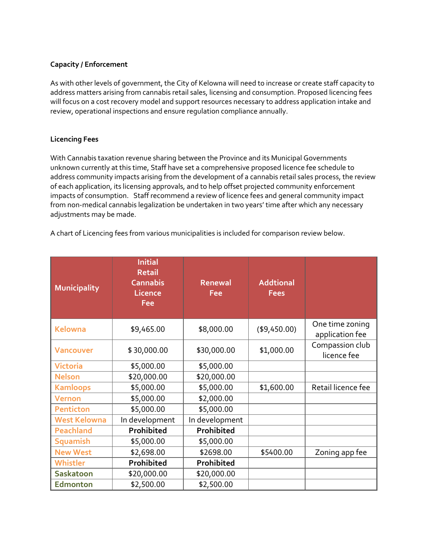# **Capacity / Enforcement**

As with other levels of government, the City of Kelowna will need to increase or create staff capacity to address matters arising from cannabis retail sales, licensing and consumption. Proposed licencing fees will focus on a cost recovery model and support resources necessary to address application intake and review, operational inspections and ensure regulation compliance annually.

### **Licencing Fees**

With Cannabis taxation revenue sharing between the Province and its Municipal Governments unknown currently at this time, Staff have set a comprehensive proposed licence fee schedule to address community impacts arising from the development of a cannabis retail sales process, the review of each application, its licensing approvals, and to help offset projected community enforcement impacts of consumption. Staff recommend a review of licence fees and general community impact from non-medical cannabis legalization be undertaken in two years' time after which any necessary adjustments may be made.

A chart of Licencing fees from various municipalities is included for comparison review below.

| <b>Municipality</b> | <b>Initial</b><br><b>Retail</b><br><b>Cannabis</b><br><b>Licence</b><br>Fee | <b>Renewal</b><br>Fee | <b>Addtional</b><br><b>Fees</b> |                                    |
|---------------------|-----------------------------------------------------------------------------|-----------------------|---------------------------------|------------------------------------|
| <b>Kelowna</b>      | \$9,465.00                                                                  | \$8,000.00            | ( \$9,450.00)                   | One time zoning<br>application fee |
| <b>Vancouver</b>    | \$30,000.00                                                                 | \$30,000.00           | \$1,000.00                      | Compassion club<br>licence fee     |
| <b>Victoria</b>     | \$5,000.00                                                                  | \$5,000.00            |                                 |                                    |
| <b>Nelson</b>       | \$20,000.00                                                                 | \$20,000.00           |                                 |                                    |
| <b>Kamloops</b>     | \$5,000.00                                                                  | \$5,000.00            | \$1,600.00                      | Retail licence fee                 |
| <b>Vernon</b>       | \$5,000.00                                                                  | \$2,000.00            |                                 |                                    |
| <b>Penticton</b>    | \$5,000.00                                                                  | \$5,000.00            |                                 |                                    |
| <b>West Kelowna</b> | In development                                                              | In development        |                                 |                                    |
| <b>Peachland</b>    | Prohibited                                                                  | Prohibited            |                                 |                                    |
| <b>Squamish</b>     | \$5,000.00                                                                  | \$5,000.00            |                                 |                                    |
| <b>New West</b>     | \$2,698.00                                                                  | \$2698.00             | \$5400.00                       | Zoning app fee                     |
| Whistler            | Prohibited                                                                  | Prohibited            |                                 |                                    |
| <b>Saskatoon</b>    | \$20,000.00                                                                 | \$20,000.00           |                                 |                                    |
| <b>Edmonton</b>     | \$2,500.00                                                                  | \$2,500.00            |                                 |                                    |